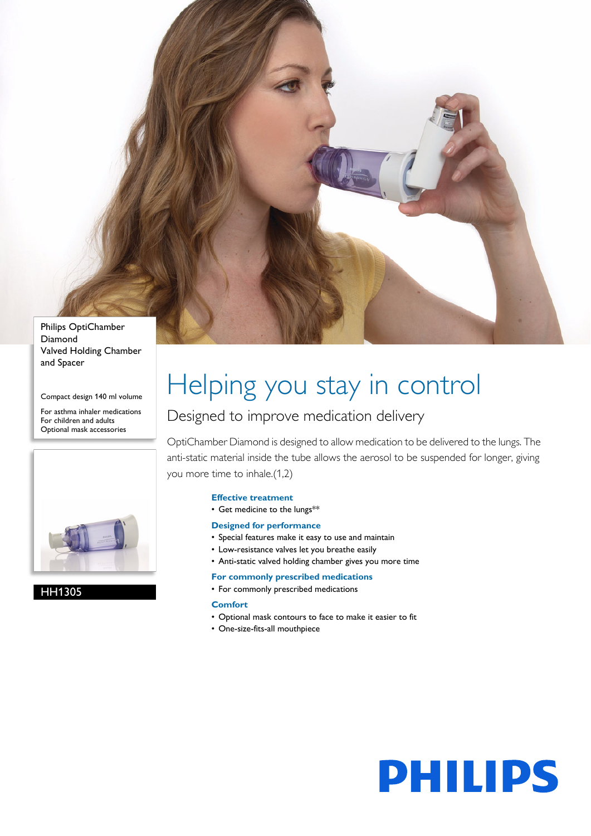

Diamond Valved Holding Chamber and Spacer

Compact design 140 ml volume

For asthma inhaler medications For children and adults Optional mask accessories



HH1305

# Helping you stay in control

### Designed to improve medication delivery

OptiChamber Diamond is designed to allow medication to be delivered to the lungs. The anti-static material inside the tube allows the aerosol to be suspended for longer, giving you more time to inhale.(1,2)

#### **Effective treatment**

• Get medicine to the lungs\*\*

#### **Designed for performance**

- Special features make it easy to use and maintain
- Low-resistance valves let you breathe easily
- Anti-static valved holding chamber gives you more time

#### **For commonly prescribed medications**

• For commonly prescribed medications

#### **Comfort**

- Optional mask contours to face to make it easier to fit
- One-size-fits-all mouthpiece

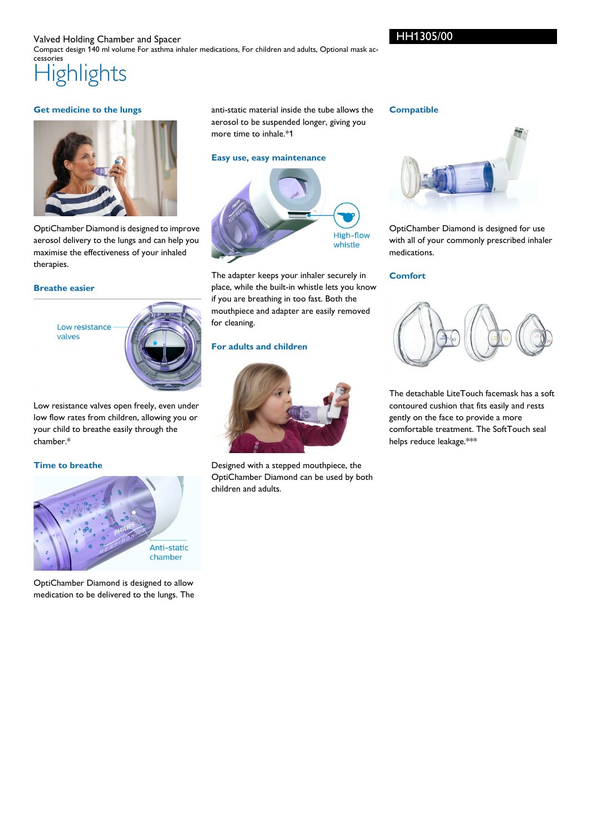#### **Highlights** Valved Holding Chamber and Spacer Compact design 140 ml volume For asthma inhaler medications, For children and adults, Optional mask accessories

#### **Get medicine to the lungs**



OptiChamber Diamond is designed to improve aerosol delivery to the lungs and can help you maximise the effectiveness of your inhaled therapies.

#### **Breathe easier**

Low resistance valves



Low resistance valves open freely, even under low flow rates from children, allowing you or your child to breathe easily through the chamber.\*

#### **Time to breathe**



OptiChamber Diamond is designed to allow medication to be delivered to the lungs. The anti-static material inside the tube allows the aerosol to be suspended longer, giving you more time to inhale.\*1

#### **Easy use, easy maintenance**



The adapter keeps your inhaler securely in place, while the built-in whistle lets you know if you are breathing in too fast. Both the mouthpiece and adapter are easily removed for cleaning.

#### **For adults and children**



Designed with a stepped mouthpiece, the OptiChamber Diamond can be used by both children and adults.

#### **Compatible**



OptiChamber Diamond is designed for use with all of your commonly prescribed inhaler medications.

#### **Comfort**



The detachable LiteTouch facemask has a soft contoured cushion that fits easily and rests gently on the face to provide a more comfortable treatment. The SoftTouch seal helps reduce leakage.\*\*\*